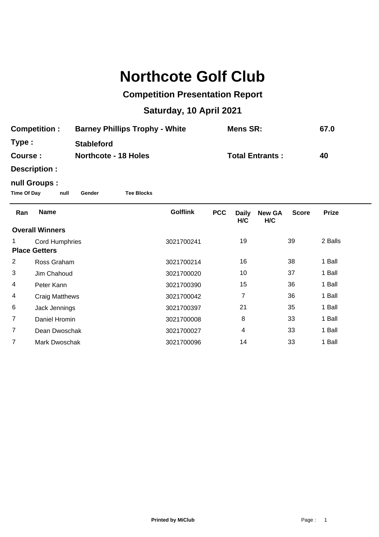## **Northcote Golf Club**

## **Competition Presentation Report**

## **Saturday, 10 April 2021**

| <b>Competition:</b>                                                        |                                               | <b>Barney Phillips Trophy - White</b> |  |                 | <b>Mens SR:</b> |                     |                        |              | 67.0         |  |  |  |
|----------------------------------------------------------------------------|-----------------------------------------------|---------------------------------------|--|-----------------|-----------------|---------------------|------------------------|--------------|--------------|--|--|--|
| Type :                                                                     |                                               | <b>Stableford</b>                     |  |                 |                 |                     |                        |              |              |  |  |  |
| Course:                                                                    |                                               | <b>Northcote - 18 Holes</b>           |  |                 |                 |                     | <b>Total Entrants:</b> |              | 40           |  |  |  |
|                                                                            | Description :                                 |                                       |  |                 |                 |                     |                        |              |              |  |  |  |
| null Groups :<br><b>Time Of Day</b><br>null<br><b>Tee Blocks</b><br>Gender |                                               |                                       |  |                 |                 |                     |                        |              |              |  |  |  |
| Ran                                                                        | <b>Name</b>                                   |                                       |  | <b>Golflink</b> | <b>PCC</b>      | <b>Daily</b><br>H/C | <b>New GA</b><br>H/C   | <b>Score</b> | <b>Prize</b> |  |  |  |
| <b>Overall Winners</b>                                                     |                                               |                                       |  |                 |                 |                     |                        |              |              |  |  |  |
| 1                                                                          | <b>Cord Humphries</b><br><b>Place Getters</b> |                                       |  | 3021700241      |                 | 19                  |                        | 39           | 2 Balls      |  |  |  |
| 2                                                                          | Ross Graham                                   |                                       |  | 3021700214      |                 | 16                  |                        | 38           | 1 Ball       |  |  |  |
| 3                                                                          | Jim Chahoud                                   |                                       |  | 3021700020      |                 | 10                  |                        | 37           | 1 Ball       |  |  |  |
| 4                                                                          | Peter Kann                                    |                                       |  | 3021700390      |                 | 15                  |                        | 36           | 1 Ball       |  |  |  |
| 4                                                                          | <b>Craig Matthews</b>                         |                                       |  | 3021700042      |                 | $\overline{7}$      |                        | 36           | 1 Ball       |  |  |  |
| 6                                                                          | Jack Jennings                                 |                                       |  | 3021700397      |                 | 21                  |                        | 35           | 1 Ball       |  |  |  |
| 7                                                                          | Daniel Hromin                                 |                                       |  | 3021700008      |                 | 8                   |                        | 33           | 1 Ball       |  |  |  |
| 7                                                                          | Dean Dwoschak                                 |                                       |  | 3021700027      |                 | 4                   |                        | 33           | 1 Ball       |  |  |  |
| 7                                                                          | Mark Dwoschak                                 |                                       |  | 3021700096      |                 | 14                  |                        | 33           | 1 Ball       |  |  |  |